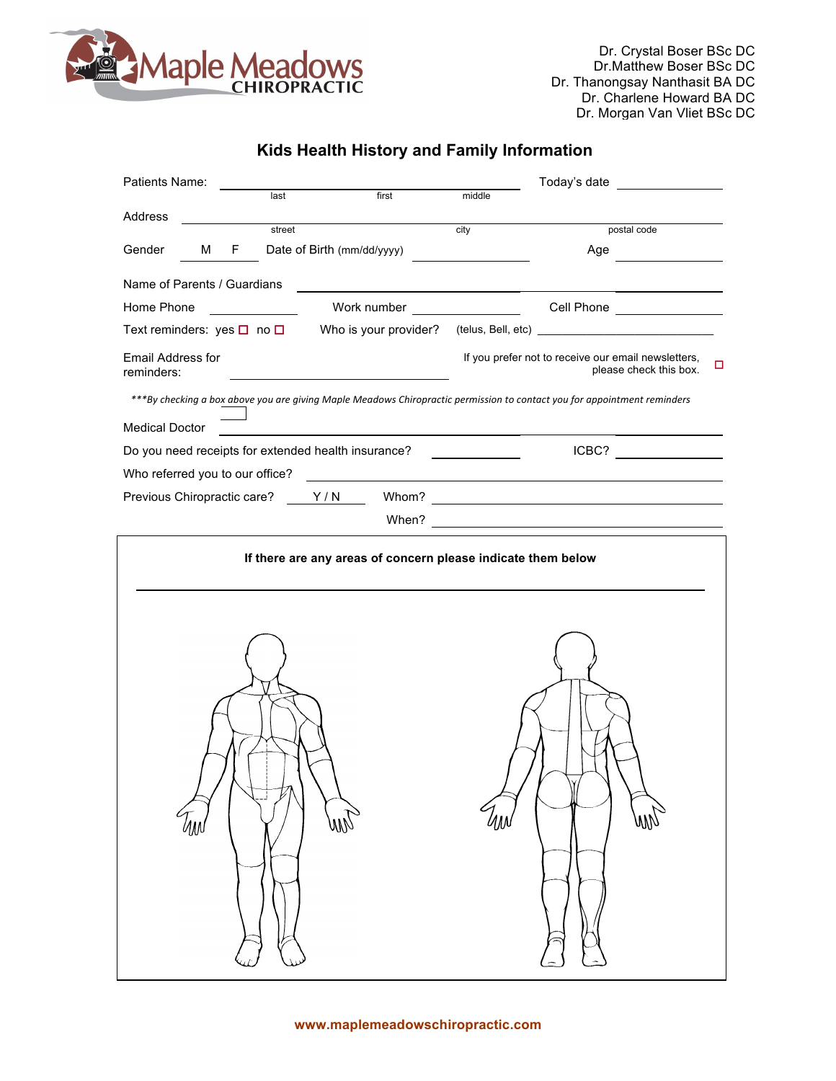

Dr. Crystal Boser BSc DC Dr.Matthew Boser BSc DC Dr. Thanongsay Nanthasit BA DC Dr. Charlene Howard BA DC Dr. Morgan Van Vliet BSc DC

## **Kids Health History and Family Information**

| Patients Name:                                                                                                           |                                                                                                                       |                                                                                                                       | Today's date                                                                       |  |  |  |  |
|--------------------------------------------------------------------------------------------------------------------------|-----------------------------------------------------------------------------------------------------------------------|-----------------------------------------------------------------------------------------------------------------------|------------------------------------------------------------------------------------|--|--|--|--|
| last                                                                                                                     | first                                                                                                                 | middle                                                                                                                |                                                                                    |  |  |  |  |
| Address<br>street                                                                                                        |                                                                                                                       | city                                                                                                                  | postal code                                                                        |  |  |  |  |
| Gender<br>М<br>F.                                                                                                        | Date of Birth (mm/dd/yyyy)                                                                                            |                                                                                                                       | Age                                                                                |  |  |  |  |
|                                                                                                                          |                                                                                                                       |                                                                                                                       |                                                                                    |  |  |  |  |
| Name of Parents / Guardians                                                                                              |                                                                                                                       |                                                                                                                       |                                                                                    |  |  |  |  |
| Home Phone                                                                                                               | Work number                                                                                                           |                                                                                                                       | Cell Phone _________________                                                       |  |  |  |  |
| Text reminders: yes $\square$ no $\square$ Who is your provider?                                                         |                                                                                                                       |                                                                                                                       |                                                                                    |  |  |  |  |
| Email Address for<br>reminders:                                                                                          |                                                                                                                       |                                                                                                                       | If you prefer not to receive our email newsletters,<br>□<br>please check this box. |  |  |  |  |
| ***By checking a box above you are giving Maple Meadows Chiropractic permission to contact you for appointment reminders |                                                                                                                       |                                                                                                                       |                                                                                    |  |  |  |  |
| <b>Medical Doctor</b>                                                                                                    | <u>and the state of the state of the state of the state of the state of the state of the state of the state of th</u> |                                                                                                                       |                                                                                    |  |  |  |  |
| Do you need receipts for extended health insurance?                                                                      |                                                                                                                       | <u> 1999 - Jan Barat, prima populație de la proprietat de la proprietat de la proprietat de la proprietat de la p</u> |                                                                                    |  |  |  |  |
| Who referred you to our office?                                                                                          |                                                                                                                       |                                                                                                                       | <u> 1980 - Jan Samuel Barbara, margaret eta idazlearia (h. 1980).</u>              |  |  |  |  |
| Previous Chiropractic care? Y/N                                                                                          |                                                                                                                       |                                                                                                                       |                                                                                    |  |  |  |  |
|                                                                                                                          | When?                                                                                                                 |                                                                                                                       |                                                                                    |  |  |  |  |
| Uw                                                                                                                       | If there are any areas of concern please indicate them below<br>am                                                    | ЩN                                                                                                                    |                                                                                    |  |  |  |  |